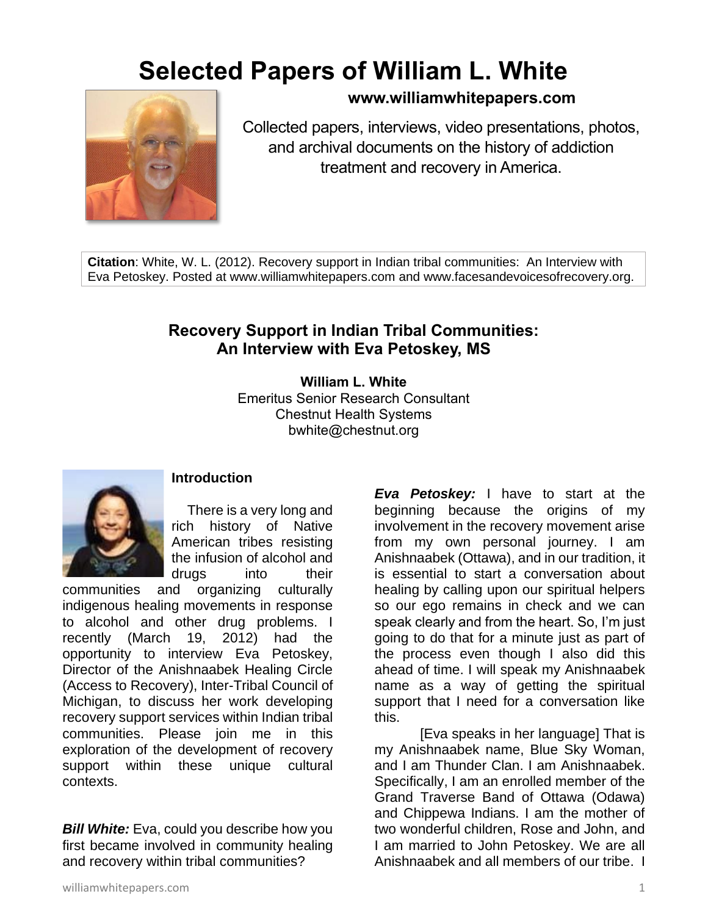## **Selected Papers of William L. White**



## **www.williamwhitepapers.com**

Collected papers, interviews, video presentations, photos, and archival documents on the history of addiction treatment and recovery in America.

**Citation**: White, W. L. (2012). Recovery support in Indian tribal communities: An Interview with Eva Petoskey. Posted at www.williamwhitepapers.com and www.facesandevoicesofrecovery.org.

## **Recovery Support in Indian Tribal Communities: An Interview with Eva Petoskey, MS**

**William L. White** Emeritus Senior Research Consultant Chestnut Health Systems bwhite@chestnut.org



## **Introduction**

There is a very long and rich history of Native American tribes resisting the infusion of alcohol and drugs into their

communities and organizing culturally indigenous healing movements in response to alcohol and other drug problems. I recently (March 19, 2012) had the opportunity to interview Eva Petoskey, Director of the Anishnaabek Healing Circle (Access to Recovery), Inter-Tribal Council of Michigan, to discuss her work developing recovery support services within Indian tribal communities. Please join me in this exploration of the development of recovery support within these unique cultural contexts.

**Bill White:** Eva, could you describe how you first became involved in community healing and recovery within tribal communities?

*Eva Petoskey:* I have to start at the beginning because the origins of my involvement in the recovery movement arise from my own personal journey. I am Anishnaabek (Ottawa), and in our tradition, it is essential to start a conversation about healing by calling upon our spiritual helpers so our ego remains in check and we can speak clearly and from the heart. So, I'm just going to do that for a minute just as part of the process even though I also did this ahead of time. I will speak my Anishnaabek name as a way of getting the spiritual support that I need for a conversation like this.

[Eva speaks in her language] That is my Anishnaabek name, Blue Sky Woman, and I am Thunder Clan. I am Anishnaabek. Specifically, I am an enrolled member of the Grand Traverse Band of Ottawa (Odawa) and Chippewa Indians. I am the mother of two wonderful children, Rose and John, and I am married to John Petoskey. We are all Anishnaabek and all members of our tribe. I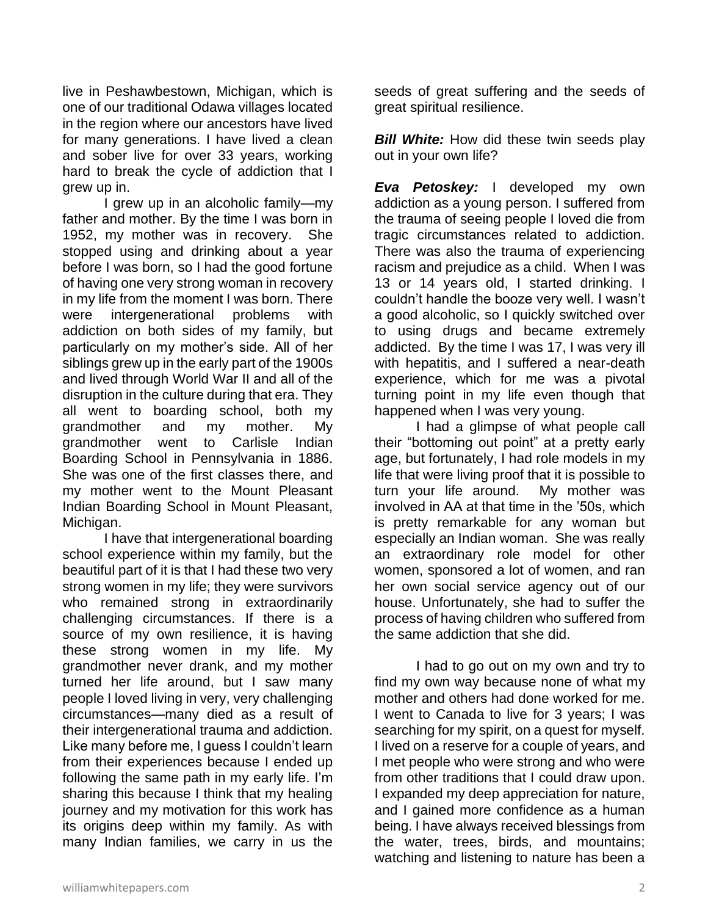live in Peshawbestown, Michigan, which is one of our traditional Odawa villages located in the region where our ancestors have lived for many generations. I have lived a clean and sober live for over 33 years, working hard to break the cycle of addiction that I grew up in.

I grew up in an alcoholic family—my father and mother. By the time I was born in 1952, my mother was in recovery. She stopped using and drinking about a year before I was born, so I had the good fortune of having one very strong woman in recovery in my life from the moment I was born. There were intergenerational problems with addiction on both sides of my family, but particularly on my mother's side. All of her siblings grew up in the early part of the 1900s and lived through World War II and all of the disruption in the culture during that era. They all went to boarding school, both my grandmother and my mother. My grandmother went to Carlisle Indian Boarding School in Pennsylvania in 1886. She was one of the first classes there, and my mother went to the Mount Pleasant Indian Boarding School in Mount Pleasant, Michigan.

I have that intergenerational boarding school experience within my family, but the beautiful part of it is that I had these two very strong women in my life; they were survivors who remained strong in extraordinarily challenging circumstances. If there is a source of my own resilience, it is having these strong women in my life. My grandmother never drank, and my mother turned her life around, but I saw many people I loved living in very, very challenging circumstances—many died as a result of their intergenerational trauma and addiction. Like many before me, I guess I couldn't learn from their experiences because I ended up following the same path in my early life. I'm sharing this because I think that my healing journey and my motivation for this work has its origins deep within my family. As with many Indian families, we carry in us the

seeds of great suffering and the seeds of great spiritual resilience.

**Bill White:** How did these twin seeds play out in your own life?

*Eva Petoskey:* I developed my own addiction as a young person. I suffered from the trauma of seeing people I loved die from tragic circumstances related to addiction. There was also the trauma of experiencing racism and prejudice as a child. When I was 13 or 14 years old, I started drinking. I couldn't handle the booze very well. I wasn't a good alcoholic, so I quickly switched over to using drugs and became extremely addicted. By the time I was 17, I was very ill with hepatitis, and I suffered a near-death experience, which for me was a pivotal turning point in my life even though that happened when I was very young.

I had a glimpse of what people call their "bottoming out point" at a pretty early age, but fortunately, I had role models in my life that were living proof that it is possible to turn your life around. My mother was involved in AA at that time in the '50s, which is pretty remarkable for any woman but especially an Indian woman. She was really an extraordinary role model for other women, sponsored a lot of women, and ran her own social service agency out of our house. Unfortunately, she had to suffer the process of having children who suffered from the same addiction that she did.

I had to go out on my own and try to find my own way because none of what my mother and others had done worked for me. I went to Canada to live for 3 years; I was searching for my spirit, on a quest for myself. I lived on a reserve for a couple of years, and I met people who were strong and who were from other traditions that I could draw upon. I expanded my deep appreciation for nature, and I gained more confidence as a human being. I have always received blessings from the water, trees, birds, and mountains; watching and listening to nature has been a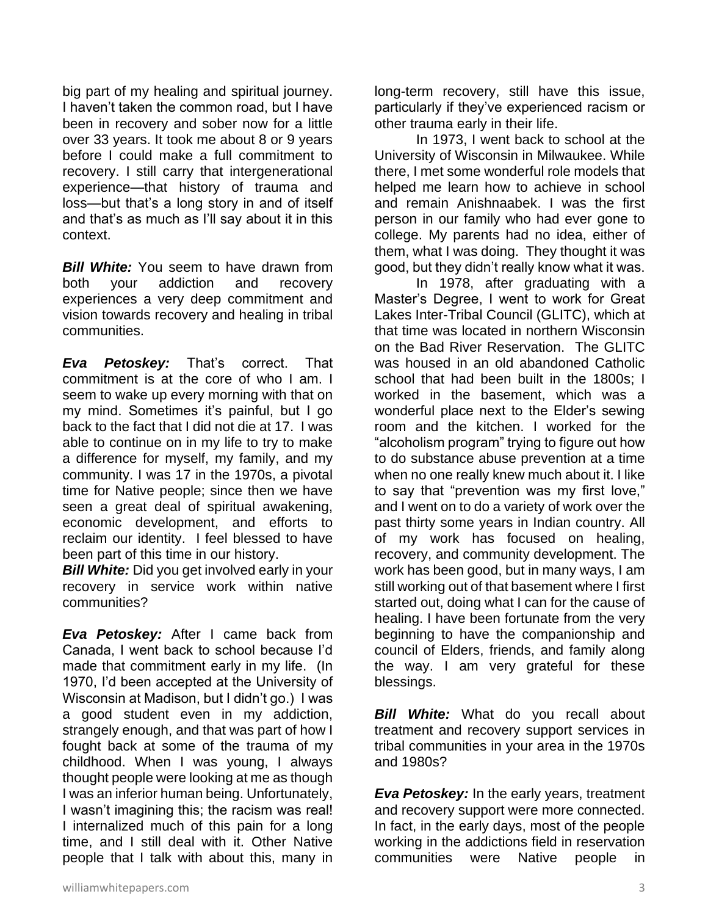big part of my healing and spiritual journey. I haven't taken the common road, but I have been in recovery and sober now for a little over 33 years. It took me about 8 or 9 years before I could make a full commitment to recovery. I still carry that intergenerational experience—that history of trauma and loss—but that's a long story in and of itself and that's as much as I'll say about it in this context.

**Bill White:** You seem to have drawn from both your addiction and recovery experiences a very deep commitment and vision towards recovery and healing in tribal communities.

*Eva Petoskey:* That's correct. That commitment is at the core of who I am. I seem to wake up every morning with that on my mind. Sometimes it's painful, but I go back to the fact that I did not die at 17. I was able to continue on in my life to try to make a difference for myself, my family, and my community. I was 17 in the 1970s, a pivotal time for Native people; since then we have seen a great deal of spiritual awakening, economic development, and efforts to reclaim our identity. I feel blessed to have been part of this time in our history.

**Bill White:** Did you get involved early in your recovery in service work within native communities?

*Eva Petoskey:* After I came back from Canada, I went back to school because I'd made that commitment early in my life. (In 1970, I'd been accepted at the University of Wisconsin at Madison, but I didn't go.) I was a good student even in my addiction, strangely enough, and that was part of how I fought back at some of the trauma of my childhood. When I was young, I always thought people were looking at me as though I was an inferior human being. Unfortunately, I wasn't imagining this; the racism was real! I internalized much of this pain for a long time, and I still deal with it. Other Native people that I talk with about this, many in

long-term recovery, still have this issue, particularly if they've experienced racism or other trauma early in their life.

In 1973, I went back to school at the University of Wisconsin in Milwaukee. While there, I met some wonderful role models that helped me learn how to achieve in school and remain Anishnaabek. I was the first person in our family who had ever gone to college. My parents had no idea, either of them, what I was doing. They thought it was good, but they didn't really know what it was.

In 1978, after graduating with a Master's Degree, I went to work for Great Lakes Inter-Tribal Council (GLITC), which at that time was located in northern Wisconsin on the Bad River Reservation. The GLITC was housed in an old abandoned Catholic school that had been built in the 1800s; I worked in the basement, which was a wonderful place next to the Elder's sewing room and the kitchen. I worked for the "alcoholism program" trying to figure out how to do substance abuse prevention at a time when no one really knew much about it. I like to say that "prevention was my first love," and I went on to do a variety of work over the past thirty some years in Indian country. All of my work has focused on healing, recovery, and community development. The work has been good, but in many ways, I am still working out of that basement where I first started out, doing what I can for the cause of healing. I have been fortunate from the very beginning to have the companionship and council of Elders, friends, and family along the way. I am very grateful for these blessings.

**Bill White:** What do you recall about treatment and recovery support services in tribal communities in your area in the 1970s and 1980s?

*Eva Petoskey:* In the early years, treatment and recovery support were more connected. In fact, in the early days, most of the people working in the addictions field in reservation communities were Native people in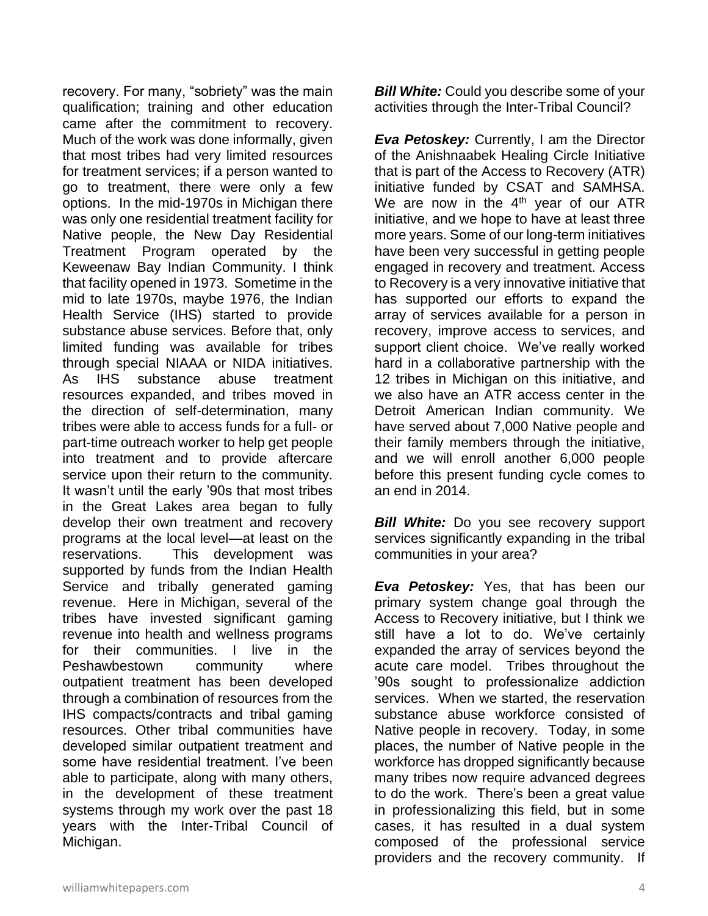recovery. For many, "sobriety" was the main qualification; training and other education came after the commitment to recovery. Much of the work was done informally, given that most tribes had very limited resources for treatment services; if a person wanted to go to treatment, there were only a few options. In the mid-1970s in Michigan there was only one residential treatment facility for Native people, the New Day Residential Treatment Program operated by the Keweenaw Bay Indian Community. I think that facility opened in 1973. Sometime in the mid to late 1970s, maybe 1976, the Indian Health Service (IHS) started to provide substance abuse services. Before that, only limited funding was available for tribes through special NIAAA or NIDA initiatives. As IHS substance abuse treatment resources expanded, and tribes moved in the direction of self-determination, many tribes were able to access funds for a full- or part-time outreach worker to help get people into treatment and to provide aftercare service upon their return to the community. It wasn't until the early '90s that most tribes in the Great Lakes area began to fully develop their own treatment and recovery programs at the local level—at least on the reservations. This development was supported by funds from the Indian Health Service and tribally generated gaming revenue. Here in Michigan, several of the tribes have invested significant gaming revenue into health and wellness programs for their communities. I live in the Peshawbestown community where outpatient treatment has been developed through a combination of resources from the IHS compacts/contracts and tribal gaming resources. Other tribal communities have developed similar outpatient treatment and some have residential treatment. I've been able to participate, along with many others, in the development of these treatment systems through my work over the past 18 years with the Inter-Tribal Council of Michigan.

*Bill White:* Could you describe some of your activities through the Inter-Tribal Council?

*Eva Petoskey:* Currently, I am the Director of the Anishnaabek Healing Circle Initiative that is part of the Access to Recovery (ATR) initiative funded by CSAT and SAMHSA. We are now in the  $4<sup>th</sup>$  year of our ATR initiative, and we hope to have at least three more years. Some of our long-term initiatives have been very successful in getting people engaged in recovery and treatment. Access to Recovery is a very innovative initiative that has supported our efforts to expand the array of services available for a person in recovery, improve access to services, and support client choice. We've really worked hard in a collaborative partnership with the 12 tribes in Michigan on this initiative, and we also have an ATR access center in the Detroit American Indian community. We have served about 7,000 Native people and their family members through the initiative, and we will enroll another 6,000 people before this present funding cycle comes to an end in 2014.

*Bill White:* Do you see recovery support services significantly expanding in the tribal communities in your area?

*Eva Petoskey:* Yes, that has been our primary system change goal through the Access to Recovery initiative, but I think we still have a lot to do. We've certainly expanded the array of services beyond the acute care model. Tribes throughout the '90s sought to professionalize addiction services. When we started, the reservation substance abuse workforce consisted of Native people in recovery. Today, in some places, the number of Native people in the workforce has dropped significantly because many tribes now require advanced degrees to do the work. There's been a great value in professionalizing this field, but in some cases, it has resulted in a dual system composed of the professional service providers and the recovery community. If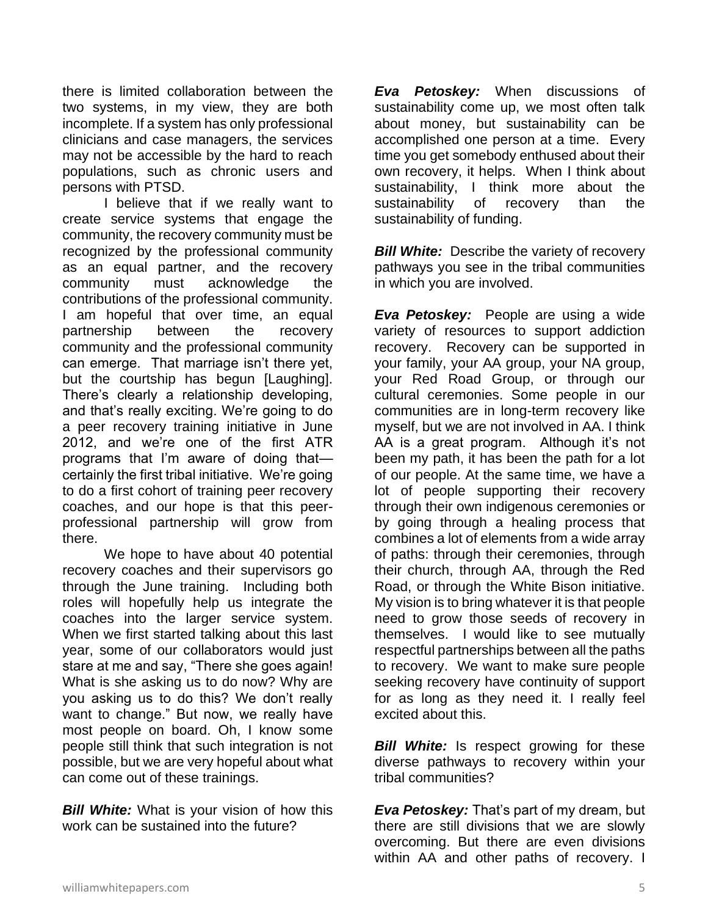there is limited collaboration between the two systems, in my view, they are both incomplete. If a system has only professional clinicians and case managers, the services may not be accessible by the hard to reach populations, such as chronic users and persons with PTSD.

I believe that if we really want to create service systems that engage the community, the recovery community must be recognized by the professional community as an equal partner, and the recovery community must acknowledge the contributions of the professional community. I am hopeful that over time, an equal partnership between the recovery community and the professional community can emerge. That marriage isn't there yet, but the courtship has begun [Laughing]. There's clearly a relationship developing, and that's really exciting. We're going to do a peer recovery training initiative in June 2012, and we're one of the first ATR programs that I'm aware of doing that certainly the first tribal initiative. We're going to do a first cohort of training peer recovery coaches, and our hope is that this peerprofessional partnership will grow from there.

We hope to have about 40 potential recovery coaches and their supervisors go through the June training. Including both roles will hopefully help us integrate the coaches into the larger service system. When we first started talking about this last year, some of our collaborators would just stare at me and say, "There she goes again! What is she asking us to do now? Why are you asking us to do this? We don't really want to change." But now, we really have most people on board. Oh, I know some people still think that such integration is not possible, but we are very hopeful about what can come out of these trainings.

**Bill White:** What is your vision of how this work can be sustained into the future?

*Eva Petoskey:* When discussions of sustainability come up, we most often talk about money, but sustainability can be accomplished one person at a time. Every time you get somebody enthused about their own recovery, it helps. When I think about sustainability, I think more about the sustainability of recovery than the sustainability of funding.

*Bill White:* Describe the variety of recovery pathways you see in the tribal communities in which you are involved.

*Eva Petoskey:* People are using a wide variety of resources to support addiction recovery. Recovery can be supported in your family, your AA group, your NA group, your Red Road Group, or through our cultural ceremonies. Some people in our communities are in long-term recovery like myself, but we are not involved in AA. I think AA is a great program. Although it's not been my path, it has been the path for a lot of our people. At the same time, we have a lot of people supporting their recovery through their own indigenous ceremonies or by going through a healing process that combines a lot of elements from a wide array of paths: through their ceremonies, through their church, through AA, through the Red Road, or through the White Bison initiative. My vision is to bring whatever it is that people need to grow those seeds of recovery in themselves. I would like to see mutually respectful partnerships between all the paths to recovery. We want to make sure people seeking recovery have continuity of support for as long as they need it. I really feel excited about this.

*Bill White:* Is respect growing for these diverse pathways to recovery within your tribal communities?

*Eva Petoskey:* That's part of my dream, but there are still divisions that we are slowly overcoming. But there are even divisions within AA and other paths of recovery. I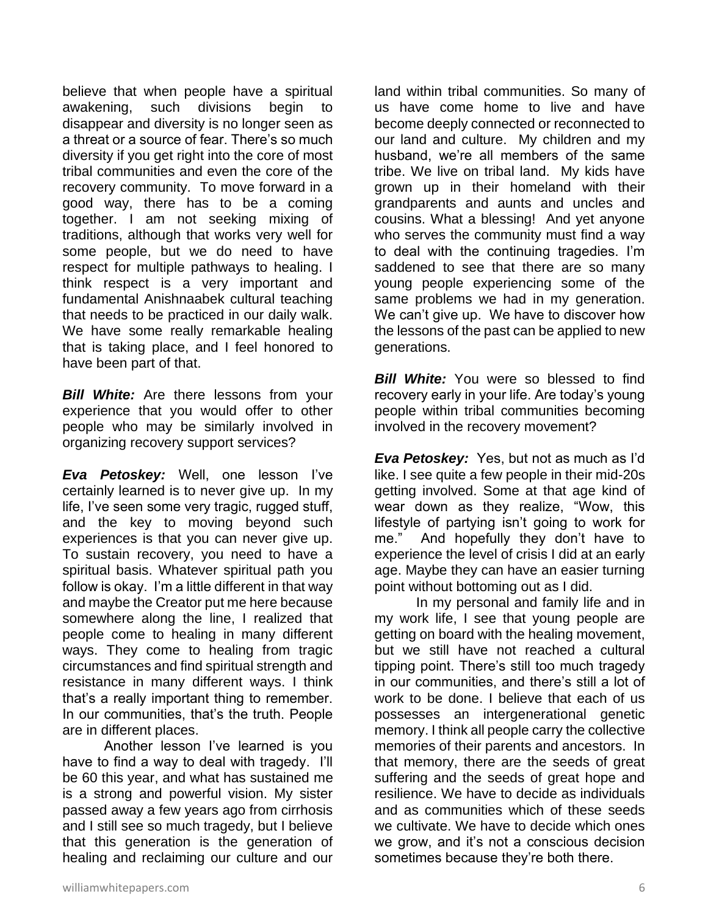believe that when people have a spiritual awakening, such divisions begin to disappear and diversity is no longer seen as a threat or a source of fear. There's so much diversity if you get right into the core of most tribal communities and even the core of the recovery community. To move forward in a good way, there has to be a coming together. I am not seeking mixing of traditions, although that works very well for some people, but we do need to have respect for multiple pathways to healing. I think respect is a very important and fundamental Anishnaabek cultural teaching that needs to be practiced in our daily walk. We have some really remarkable healing that is taking place, and I feel honored to have been part of that.

*Bill White:* Are there lessons from your experience that you would offer to other people who may be similarly involved in organizing recovery support services?

*Eva Petoskey:* Well, one lesson I've certainly learned is to never give up. In my life, I've seen some very tragic, rugged stuff, and the key to moving beyond such experiences is that you can never give up. To sustain recovery, you need to have a spiritual basis. Whatever spiritual path you follow is okay. I'm a little different in that way and maybe the Creator put me here because somewhere along the line, I realized that people come to healing in many different ways. They come to healing from tragic circumstances and find spiritual strength and resistance in many different ways. I think that's a really important thing to remember. In our communities, that's the truth. People are in different places.

Another lesson I've learned is you have to find a way to deal with tragedy. I'll be 60 this year, and what has sustained me is a strong and powerful vision. My sister passed away a few years ago from cirrhosis and I still see so much tragedy, but I believe that this generation is the generation of healing and reclaiming our culture and our

land within tribal communities. So many of us have come home to live and have become deeply connected or reconnected to our land and culture. My children and my husband, we're all members of the same tribe. We live on tribal land. My kids have grown up in their homeland with their grandparents and aunts and uncles and cousins. What a blessing! And yet anyone who serves the community must find a way to deal with the continuing tragedies. I'm saddened to see that there are so many young people experiencing some of the same problems we had in my generation. We can't give up. We have to discover how the lessons of the past can be applied to new generations.

*Bill White:* You were so blessed to find recovery early in your life. Are today's young people within tribal communities becoming involved in the recovery movement?

*Eva Petoskey:* Yes, but not as much as I'd like. I see quite a few people in their mid-20s getting involved. Some at that age kind of wear down as they realize, "Wow, this lifestyle of partying isn't going to work for me." And hopefully they don't have to experience the level of crisis I did at an early age. Maybe they can have an easier turning point without bottoming out as I did.

In my personal and family life and in my work life, I see that young people are getting on board with the healing movement, but we still have not reached a cultural tipping point. There's still too much tragedy in our communities, and there's still a lot of work to be done. I believe that each of us possesses an intergenerational genetic memory. I think all people carry the collective memories of their parents and ancestors. In that memory, there are the seeds of great suffering and the seeds of great hope and resilience. We have to decide as individuals and as communities which of these seeds we cultivate. We have to decide which ones we grow, and it's not a conscious decision sometimes because they're both there.